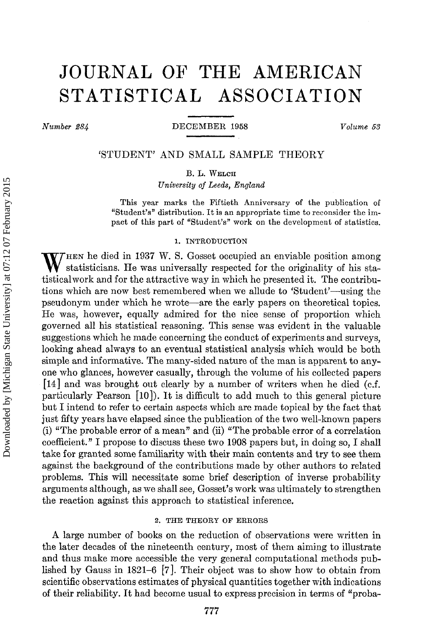# **JOURNAL O:F THE AMERICAN STATISTICAL ASSOCIATION**

#### *Number 284* DECEMBER 1958

*Volume 53*

# 'STUDENT' AND SMALL SAMPLE THEORY

# B. L. WELCH

*University of Leeds, England*

This year marks the Fiftieth Anniversary of the publication of "Student's" distribution. It is an appropriate time to reconsider the impact of this part of "Student's" work on the development of statistics.

#### 1. INTRODUCTION

WHEN he died in 1937 W. S. Gosset occupied an enviable position among statisticians. He was universally respected for the originality of his statisticalwork and for the attractive way in which he presented it. The contributions which are now best remembered when we allude to 'Student'-using the pseudonym under which he wrote-are the early papers on theoretical topics. He was, however, equally admired for the nice sense of proportion which governed all his statistical reasoning. This sense was evident in the valuable suggestions which he made concerning the conduct of experiments and surveys, looking ahead always to an eventual statistical analysis which would be both simple and informative. The many-sided nature of the man is apparent to anyone who glances, however casually, through the volume of his collected papers  $[14]$  and was brought out clearly by a number of writers when he died (c.f. particularly Pearson [10]). It is difficult to add much to this general picture but I intend to refer to certain aspects which are made topical by the fact that just fifty years have elapsed since the publication of the two well-known papers (i) "The probable error of a mean" and (ii) "The probable error of a correlation coefficient." I propose to discuss these two 1908 papers but, in doing so, I shall take for granted some familiarity with their main contents and try to see them against the background of the contributions made by other authors to related problems. This will necessitate some brief description of inverse probability arguments although, as we shall see, Gosset's work was ultimately to strengthen the reaction against this approach to statistical inference.

# 2. THE THEORY OF ERRORS

A large number of books on the reduction of observations were written in the later decades of the nineteenth century, most of them aiming to illustrate and thus make more accessible the very general computational methods published by Gauss in 1821-6 [7]. Their object was to show how to obtain from scientific observations estimates of physical quantities together with indications of their reliability. It had become usual to express precision in terms of "proba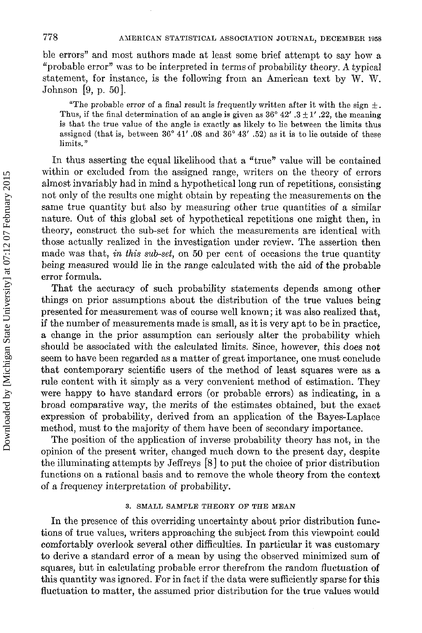ble errors" and most authors made at least some brief attempt to say how a "probable error" was to be interpreted in terms of probability theory. A typical statement, for instance, is the following from an American text by W. W. Johnson [9, p. 50].

"The probable error of a final result is frequently written after it with the sign  $\pm$ . Thus, if the final determination of an angle is given as  $36^{\circ} 42'$ .  $3 \pm 1'$ . 22, the meaning is that the true value of the angle is exactly as likely to lie between the limits thus assigned (that is, between 36° 41' .08 and 36° 43' .52) as it is to lie outside of these limits."

In thus asserting the equal likelihood that a "true" value will be contained within or excluded from the assigned range, writers on the theory of errors almost invariably had in mind a hypothetical long run of repetitions, consisting not only of the results one might obtain by repeating the measurements on the same true quantity but also by measuring other true quantities of a similar nature. Out of this global set of hypothetical repetitions one might then, in theory, construct the sub-set for which the measurements are identical with those actually realized in the investigation under review. The assertion then made was that, *in this sub-set,* on 50 per cent of occasions the true quantity being measured would lie in the range calculated with the aid of the probable error formula.

That the accuracy of such probability statements depends among other things on prior assumptions about the distribution of the true values being presented for measurement was of course well known; it was also realized that, if the number of measurements made is small, as it is very apt to be in practice, a change in the prior assumption can seriously alter the probability which should be associated with the calculated limits. Since, however, this does not seem to have been regarded as a matter of great importance, one must conclude that contemporary scientific users of the method of least squares were as a rule content with it simply as a very convenient method of estimation. They were happy to have standard errors (or probable errors) as indicating, in a broad comparative way, the merits of the estimates obtained, but the exact expression of probability, derived from an application of the Bayes-Laplace method, must to the majority of them have been of secondary importance.

The position of the application of inverse probability theory has not, in the opinion of the present writer, changed much down to the present day, despite the illuminating attempts by Jeffreys [8] to put the choice of prior distribution functions on a rational basis and to remove the whole theory from the context of a frequency interpretation of probability.

#### 3. SMALL SAMPLE THEORY OF THE MEAN

In the presence of this overriding uncertainty about prior distribution functions of true values, writers approaching the subject from this viewpoint could comfortably overlook several other difficulties. In particular it was customary to derive a standard error of a mean by using the observed minimized sum of squares, but in calculating probable error therefrom the random fluctuation of this quantity was ignored. For in fact if the data were sufficiently sparse for this fluctuation to matter, the assumed prior distribution for the true values would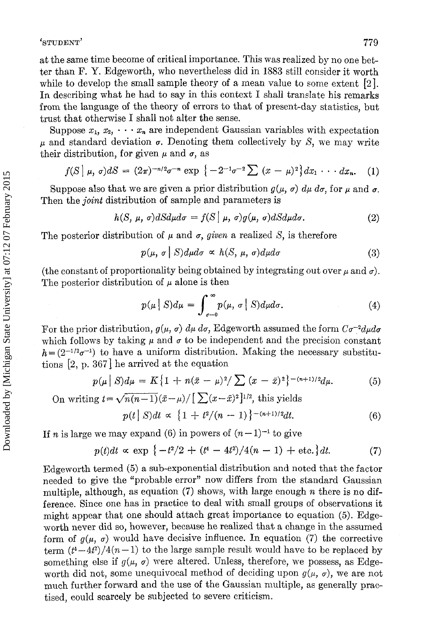$'$ STUDENT'  $'$ 

at the same time become of critical importance. This was realized by no one better than F. Y. Edgeworth, who nevertheless did in 1883 still consider it worth while to develop the small sample theory of a mean value to some extent [2]. In describing what he had to say in this context I shall translate his remarks from the language of the theory of errors to that of present-day statistics, but trust that otherwise I shall not alter the sense.

Suppose  $x_1, x_2, \cdots, x_n$  are independent Gaussian variables with expectation  $\mu$  and standard deviation  $\sigma$ . Denoting them collectively by S, we may write their distribution, for given  $\mu$  and  $\sigma$ , as

$$
f(S \mid \mu, \sigma) dS = (2\pi)^{-n/2} \sigma^{-n} \exp \left\{-2^{-1} \sigma^{-2} \sum (x - \mu)^2\right\} dx_1 \cdots dx_n.
$$
 (1)

Suppose also that we are given a prior distribution  $g(\mu, \sigma) d\mu d\sigma$ , for  $\mu$  and  $\sigma$ . Then the *joint* distribution of sample and parameters is

$$
h(S, \mu, \sigma)dSd\mu d\sigma = f(S \mid \mu, \sigma)g(\mu, \sigma)dSd\mu d\sigma.
$$
 (2)

The posterior distribution of  $\mu$  and  $\sigma$ , given a realized S, is therefore

$$
p(\mu, \sigma \mid S)d\mu d\sigma \propto h(S, \mu, \sigma)d\mu d\sigma \qquad (3)
$$

(the constant of proportionality being obtained by integrating out over  $\mu$  and  $\sigma$ ). The posterior distribution of  $\mu$  alone is then

$$
p(\mu \mid S)d\mu = \int_{\sigma=0}^{\infty} p(\mu, \sigma \mid S)d\mu d\sigma.
$$
 (4)

For the prior distribution,  $g(\mu, \sigma) d\mu d\sigma$ , Edgeworth assumed the form  $C\sigma^{-2}d\mu d\sigma$ which follows by taking  $\mu$  and  $\sigma$  to be independent and the precision constant  $h = (2^{-1/2}\sigma^{-1})$  to have a uniform distribution. Making the necessary substitutions  $[2, p. 367]$  he arrived at the equation

$$
p(\mu \mid S)d\mu = K\{1 + n(\bar{x} - \mu)^2 / \sum (x - \bar{x})^2\}^{-(n+1)/2} d\mu.
$$
 (5)

On writing  $t = \sqrt{n(n-1)}(\bar{x}-\mu)/[\sum (x-\bar{x})^2]^{1/2}$ , this yields

$$
p(t \mid S)dt \propto \{1 + t^2/(n-1)\}^{-(n+1)/2} dt. \tag{6}
$$

If *n* is large we may expand (6) in powers of  $(n-1)^{-1}$  to give

$$
p(t)dt \propto \exp \left\{-t^2/2 + (t^4 - 4t^2)/4(n - 1) + \text{etc.}\right\} dt. \tag{7}
$$

Edgeworth termed (5) a sub-exponential distribution and noted that the factor needed to give the "probable error" now differs from the standard Gaussian multiple, although, as equation  $(7)$  shows, with large enough n there is no difference. Since one has in practice to deal with small groups of observations it might appear that one should attach great importance to equation (5). Edgeworth never did so, however, because he realized that a change in the assumed form of  $g(\mu, \sigma)$  would have decisive influence. In equation (7) the corrective term  $(t^4 - 4t^2)/4(n-1)$  to the large sample result would have to be replaced by something else if  $g(\mu, \sigma)$  were altered. Unless, therefore, we possess, as Edgeworth did not, some unequivocal method of deciding upon  $g(\mu, \sigma)$ , we are not much further forward and the use of the Gaussian multiple, as generally practised, could scarcely be subjected to severe criticism.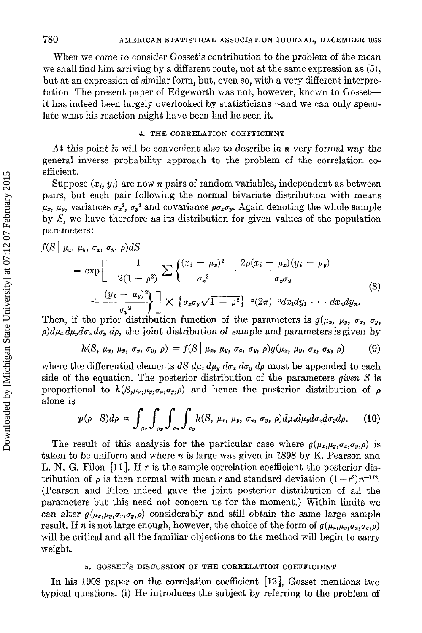When we come to consider Gosset's contribution to the problem of the mean we shall find him arriving by a different route, not at the same expression as (5), but at an expression of similar form, but, even so, with a very different interpretation. The present paper of Edgeworth was not, however, known to Gossetit has indeed been largely overlooked by statisticians-and we can only speculate what his reaction might have been had he seen it.

## 4. THE CORRELATION COEFFICIENT

At this point it will be convenient also to describe in a very formal way the general inverse probability approach to the problem of the correlation coefficient.

Suppose  $(x_i, y_i)$  are now *n* pairs of random variables, independent as between pairs, but each pair following the normal bivariate distribution with means  $\mu_x$ ,  $\mu_y$ , variances  $\sigma_x^2$ ,  $\sigma_y^2$  and covariance  $\rho \sigma_x \sigma_y$ . Again denoting the whole sample by *S,* we have therefore as its distribution for given values of the population parameters:

$$
f(S \mid \mu_x, \mu_y, \sigma_x, \sigma_y, \rho) dS
$$

$$
= \exp\left[-\frac{1}{2(1-\rho^2)}\sum\left\{\frac{(x_i-\mu_x)^2}{\sigma_x^2} - \frac{2\rho(x_i-\mu_x)(y_i-\mu_y)}{\sigma_x\sigma_y}\right.\right.\left.\left.+\frac{(y_i-\mu_y)^2}{\sigma_y^2}\right\}\right] \times \left\{\sigma_x\sigma_y\sqrt{1-\rho^2}\right\}^{-n}(2\pi)^{-n}d x_1 d y_1 \cdots d x_n d y_n.
$$
\n(8)

Then, if the prior distribution function of the parameters is  $g(\mu_x, \mu_y, \sigma_x, \sigma_y,$  $\rho$ ) $d\mu_x d\mu_y d\sigma_x d\sigma_y d\rho$ , the joint distribution of sample and parameters is given by

$$
h(S, \mu_x, \mu_y, \sigma_x, \sigma_y, \rho) = f(S | \mu_x, \mu_y, \sigma_x, \sigma_y, \rho)g(\mu_x, \mu_y, \sigma_x, \sigma_y, \rho) \qquad (9)
$$

where the differential elements  $dS \, d\mu_x \, d\mu_y \, d\sigma_x \, d\sigma_y \, d\rho$  must be appended to each side of the equation. The posterior distribution of the parameters *given S* is proportional to  $h(S_{\mu x}, \mu y, \sigma x, \sigma y, \rho)$  and hence the posterior distribution of  $\rho$ alone is

$$
p(\rho \mid S)d\rho \propto \int_{\mu_x} \int_{\mu_y} \int_{\sigma_x} \int_{\sigma_y} h(S, \mu_x, \mu_y, \sigma_x, \sigma_y, \rho) d\mu_x d\mu_y d\sigma_x d\sigma_y d\rho. \quad (10)
$$

The result of this analysis for the particular case where  $g(\mu_x,\mu_y,\sigma_x,\sigma_y,\rho)$  is taken to be uniform and where n is large was given in 1898 by K. Pearson and L. N. G. Filon [11]. If <sup>r</sup> is the sample correlation coefficient the posterior distribution of  $\rho$  is then normal with mean r and standard deviation  $(1-r^2)n^{-1/2}$ . (Pearson and Filon indeed gave the joint posterior distribution of all the parameters but this need not concern us for the moment.) Within limits we can alter  $g(\mu_x,\mu_y,\sigma_x,\sigma_y,\rho)$  considerably and still obtain the same large sample result. If *n* is not large enough, however, the choice of the form of  $g(\mu_x,\mu_y,\sigma_x,\sigma_y,\rho)$ will be critical and all the familiar objections to the method will begin to carry weight.

## 5. GOSSET'S DISCUSSION OF THE CORRELATION COEFFICIENT

In his 1908 paper on the correlation coefficient [12], Gosset mentions two typical questions. (i) He introduces the subject by referring to the problem of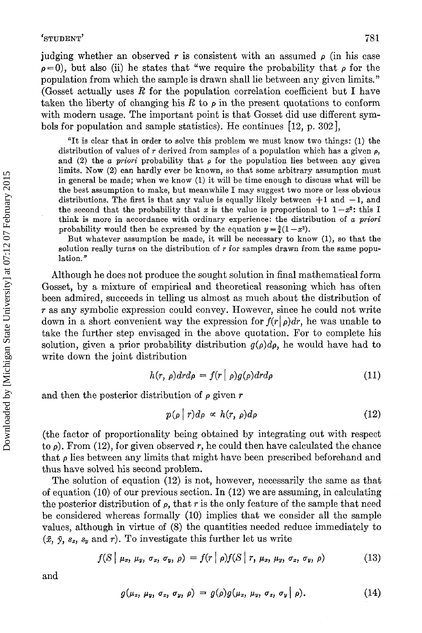judging whether an observed r is consistent with an assumed  $\rho$  (in his case  $\rho$  = 0), but also (ii) he states that "we require the probability that  $\rho$  for the population from which the sample is drawn shall lie between any given limits." (Gosset actually uses *R* for the population correlation coefficient but I have taken the liberty of changing his  $R$  to  $\rho$  in the present quotations to conform with modern usage. The important point is that Gosset did use different symbols for population and sample statistics). He continues [12, p. 302],

"It is clear that in order to solve this problem we must know two things: (1) the distribution of values of r derived from samples of a population which has a given  $\rho$ , and (2) the *a priori* probability that  $\rho$  for the population lies between any given limits. Now (2) can hardly ever be known, so that some arbitrary assumption must in general be made; when we know (1) it will be time enough to discuss what will be the best assumption to make, but meanwhile I may suggest two more or less obvious distributions. The first is that any value is equally likely between  $+1$  and  $-1$ , and the second that the probability that *x* is the value is proportional to  $1-x^2$ ; this I think is more in accordance with ordinary experience: the distribution of *a priori* probability would then be expressed by the equation  $y = \frac{3}{4}(1-x^2)$ .

But whatever assumption be made, it will be necessary to know (1), so that the solution really turns on the distribution of *r* for samples drawn from the same population."

Although he does not produce the sought solution in final mathematical form Gosset, by a mixture of empirical and theoretical reasoning which has often been admired, succeeds in telling us almost as much about the distribution of *r* as any symbolic expression could convey. However, since he could not write down in a short convenient way the expression for  $f(r|\rho)dr$ , he was unable to take the further step envisaged in the above quotation. For to complete his solution, given a prior probability distribution  $g(\rho)d\rho$ , he would have had to write down the joint distribution

$$
h(r, \rho)dr d\rho = f(r | \rho)g(\rho)dr d\rho \qquad (11)
$$

and then the posterior distribution of  $\rho$  given  $r$ 

$$
p(\rho \mid r) d\rho \propto h(r, \rho) d\rho \qquad (12)
$$

(the factor of proportionality being obtained by integrating out with respect to p). From (12), for given observed *r,* he could then have calculated the chance that  $\rho$  lies between any limits that might have been prescribed beforehand and thus have solved his second problem.

The solution of equation (12) is not, however, necessarily the same as that of equation (10) of our previous section. In (12) we are assuming, in calculating the posterior distribution of  $\rho$ , that  $r$  is the only feature of the sample that need be considered whereas formally (10) implies that we consider all the sample values, although in virtue of (8) the quantities needed reduce immediately to  $(x, \bar{y}, s_x, s_y \text{ and } r)$ . To investigate this further let us write

$$
f(S \mid \mu_x, \mu_y, \sigma_x, \sigma_y, \rho) = f(r \mid \rho) f(S \mid r, \mu_x, \mu_y, \sigma_x, \sigma_y, \rho) \tag{13}
$$

and

$$
g(\mu_x, \mu_y, \sigma_x, \sigma_y, \rho) = g(\rho)g(\mu_x, \mu_y, \sigma_x, \sigma_y | \rho).
$$
 (14)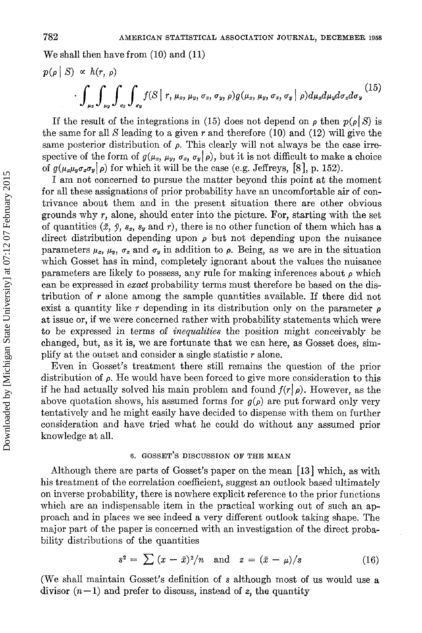We shall then have from (10) and (11)

$$
p(\rho \mid S) \propto h(r, \rho)
$$
  

$$
\cdot \int_{\mu_{x}} \int_{\mu_{y}} \int_{\sigma_{x}} \int_{\sigma_{y}} f(S \mid r, \mu_{x}, \mu_{y}, \sigma_{x}, \sigma_{y}, \rho) g(\mu_{x}, \mu_{y}, \sigma_{x}, \sigma_{y} \mid \rho) d\mu_{x} d\mu_{y} d\sigma_{x} d\sigma_{y}
$$
(15)

If the result of the integrations in (15) does not depend on  $\rho$  then  $p(\rho|S)$  is the same for all *S* leading to a given *r* and therefore (10) and (12) will give the same posterior distribution of  $\rho$ . This clearly will not always be the case irrespective of the form of  $g(\mu_x, \mu_y, \sigma_x, \sigma_y | \rho)$ , but it is not difficult to make a choice of  $g(\mu_x \mu_y \sigma_x \sigma_y | \rho)$  for which it will be the case (e.g. Jeffreys, [8], p. 152).

I am not concerned to pursue the matter beyond this point at the moment for all these assignations of prior probability have an uncomfortable air of contrivance about them and in the present situation there are other obvious grounds why *r,* alone, should enter into the picture. For, starting with the set of quantities  $(\bar{x}, \bar{y}, s_x, s_y \text{ and } r)$ , there is no other function of them which has a direct distribution depending upon  $\rho$  but not depending upon the nuisance parameters  $\mu_x$ ,  $\mu_y$ ,  $\sigma_x$  and  $\sigma_y$  in addition to  $\rho$ . Being, as we are in the situation which Gosset has in mind, completely ignorant about the values the nuisance parameters are likely to possess, any rule for making inferences about *p* which can be expressed in *exact* probability terms must therefore be based on the distribution of *r* alone among the sample quantities available. If there did not exist a quantity like *r* depending in its distribution only on the parameter *p* at issue or, if we were concerned rather with probability statements which were to be expressed in terms of *inequalities* the position might conceivably be changed, but, as it is, we are fortunate that we can here, as Gosset does, simplify at the outset and consider a single statistic *r* alone.

Even in Gosset's treatment there still remains the question of the prior distribution of  $\rho$ . He would have been forced to give more consideration to this if he had actually solved his main problem and found  $f(r|\rho)$ . However, as the above quotation shows, his assumed forms for  $g(\rho)$  are put forward only very tentatively and he might easily have decided to dispense with them on further consideration and have tried what he could do without any assumed prior knowledge at all.

# 6. GOSSET'S DISCUSSION OF THE MEAN

Although there are parts of Gosset's paper on the mean [13] which, as with his treatment of the correlation coefficient, suggest an outlook based ultimately on inverse probability, there is nowhere explicit reference to the prior functions which are an indispensable item in the practical working out of such an approach and in places we see indeed a very different outlook taking shape. The major part of the paper is concerned with an investigation of the direct probability distributions of the quantities

$$
s^{2} = \sum (x - \bar{x})^{2}/n \text{ and } z = (\bar{x} - \mu)/s \qquad (16)
$$

(We shall maintain Gosset's definition of <sup>8</sup> although most of us would use a divisor  $(n-1)$  and prefer to discuss, instead of z, the quantity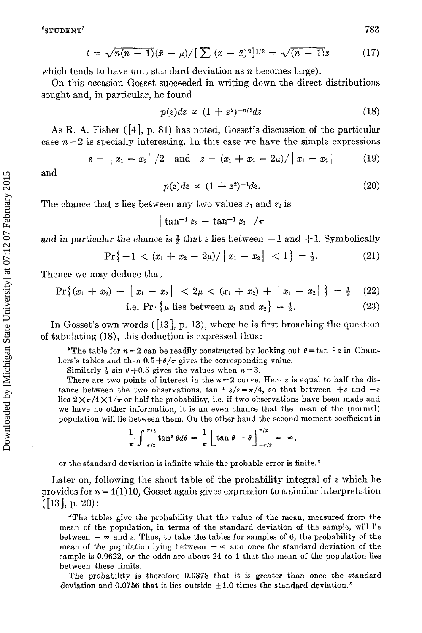Downloaded by [Michigan State University] at 07:12 07 February 2015 Downloaded by [Michigan State University] at 07:12 07 February 2015

$$
t = \sqrt{n(n-1)}(\bar{x} - \mu) / [\sum (x - \bar{x})^2]^{1/2} = \sqrt{(n-1)}z \tag{17}
$$

which tends to have unit standard deviation as *n* becomes large).

On this occasion Gosset succeeded in writing down the direct distributions sought and, in particular, he found

$$
p(z)dz \propto (1+z^2)^{-n/2}dz \tag{18}
$$

As R. A. Fisher ([4], p. 81) has noted, Gosset's discussion of the particular case  $n = 2$  is specially interesting. In this case we have the simple expressions

$$
s = |x_1 - x_2|/2 \text{ and } z = (x_1 + x_2 - 2\mu)/|x_1 - x_2|
$$
 (19)

and

$$
p(z)dz \propto (1+z^2)^{-1}dz.
$$
 (20)

The chance that  $z$  lies between any two values  $z_1$  and  $z_2$  is

$$
|\tan^{-1} z_2 - \tan^{-1} z_1| / \pi
$$

and in particular the chance is  $\frac{1}{2}$  that *z* lies between  $-1$  and  $+1$ . Symbolically

$$
\Pr\{-1 < (x_1 + x_2 - 2\mu) / \big| x_1 - x_2 \big| < 1\} = \frac{1}{2}.\tag{21}
$$

Thence we may deduce that

$$
\Pr\{(x_1 + x_2) - |x_1 - x_2| < 2\mu < (x_1 + x_2) + |x_1 - x_2| \} = \frac{1}{2} \quad (22)
$$
\ni.e.  $\Pr\{\mu \text{ lies between } x_1 \text{ and } x_2\} = \frac{1}{2}.$ 

\n(23)

In Gosset's own words ([13], p. 13), where he is first broaching the question of tabulating (18), this deduction is expressed thus:

"The table for  $n = 2$  can be readily constructed by looking out  $\theta = \tan^{-1} z$  in Chambers's tables and then  $0.5+\theta/\pi$  gives the corresponding value.

Similarly  $\frac{1}{2}$  sin  $\theta + 0.5$  gives the values when  $n = 3$ .

There are two points of interest in the  $n=2$  curve. Here  $s$  is equal to half the distance between the two observations.  $\tan^{-1} s/s = \pi/4$ , so that between  $+s$  and  $-s$ lies  $2 \times \pi/4 \times 1/\pi$  or half the probability, i.e. if two observations have been made and we have no other information, it is an even chance that the mean of the (normal) population will lie between them. On the other hand the second moment coefficient is<br>  $\frac{1}{\sqrt{t}} \int_0^{\pi/2} \tan^2 \theta d\theta = \frac{1}{\pi} \left[ \tan \theta - \theta \right]_0^{\pi/2} = \infty$ ,

$$
\frac{1}{\pi}\int_{-\pi/2}^{\pi/2} \tan^2 \theta d\theta = \frac{1}{\pi}\left[\tan \theta - \theta\right]_{-\pi/2}^{\pi/2} = \infty,
$$

or the standard deviation is infinite while the probable error is finite."

Later on, following the short table of the probability integral of *z* which he provides for  $n = 4(1)10$ , Gosset again gives expression to a similar interpretation  $([13], p. 20):$ 

"The tables give the probability that the value of the mean, measured from the mean of the population, in terms of the standard deviation of the sample, will lie between  $-\infty$  and z. Thus, to take the tables for samples of 6, the probability of the mean of the population lying between  $-\infty$  and once the standard deviation of the sample is 0.9622, or the odds are about 24 to 1 that the mean of the population lies between these limits.

The probability is therefore 0.0378 that it is greater than once the standard deviation and 0.0756 that it lies outside  $\pm 1.0$  times the standard deviation."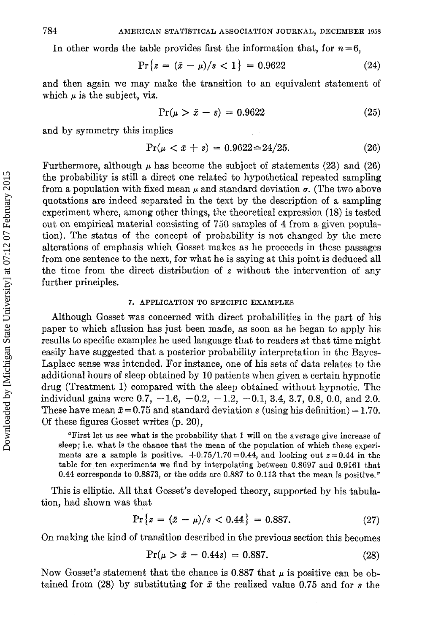In other words the table provides first the information that, for  $n = 6$ ,

$$
\Pr\{z = (\bar{x} - \mu)/s < 1\} = 0.9622\tag{24}
$$

and then again we may make the transition to an equivalent statement of which  $\mu$  is the subject, viz.

$$
Pr(\mu > \bar{x} - s) = 0.9622 \tag{25}
$$

and by symmetry this implies

$$
Pr(\mu < \bar{x} + s) = 0.9622 \approx 24/25. \tag{26}
$$

Furthermore, although  $\mu$  has become the subject of statements (23) and (26) the probability is still a direct one related to hypothetical repeated sampling from a population with fixed mean  $\mu$  and standard deviation  $\sigma$ . (The two above quotations are indeed separated in the text by the description of a sampling experiment where, among other things, the theoretical expression (18) is tested out on empirical material consisting of 750 samples of 4 from a given population). The status of the concept of probability is not changed by the mere alterations of emphasis which Gosset makes as he proceeds in these passages from one sentence to the next, for what he is saying at this point is deduced all the time from the direct distribution of *z* without the intervention of any further principles.

# 7. APPLICATION TO SPECIFIC EXAMPLES

Although Gosset was concerned with direct probabilities in the part of his paper to which allusion has just been made, as soon as he began to apply his results to specific examples he used language that to readers at that time might easily have suggested that a posterior probability interpretation in the Bayes-Laplace sense was intended. For instance, one of his sets of data relates to the additional hours of sleep obtained by 10 patients when given a certain hypnotic drug (Treatment 1) compared with the sleep obtained without hypnotic. The individual gains were  $0.7, -1.6, -0.2, -1.2, -0.1, 3.4, 3.7, 0.8, 0.0,$  and 2.0. These have mean  $\bar{x}=0.75$  and standard deviation  $s$  (using his definition) = 1.70. Of these figures Gosset writes (p. 20),

"First let us see what is the probability that 1 will on the average give increase of sleep; i.e, what is the chance that the mean of the population of which these experiments are a sample is positive.  $+0.75/1.70=0.44$ , and looking out  $z=0.44$  in the table for ten experiments we find by interpolating between 0.8697 and 0.9161 that 0.44 corresponds to 0.8873, or the odds are 0.887 to 0.113 that the mean is positive."

This is elliptic. All that Gosset's developed theory, supported by his tabulation, had shown was that

$$
\Pr\{z = (\bar{x} - \mu)/s < 0.44\} = 0.887. \tag{27}
$$

On making the kind of transition described in the previous section this becomes

$$
Pr(\mu > \bar{x} - 0.44s) = 0.887. \tag{28}
$$

Now Gosset's statement that the chance is 0.887 that  $\mu$  is positive can be obtained from (28) by substituting for  $\bar{x}$  the realized value 0.75 and for s the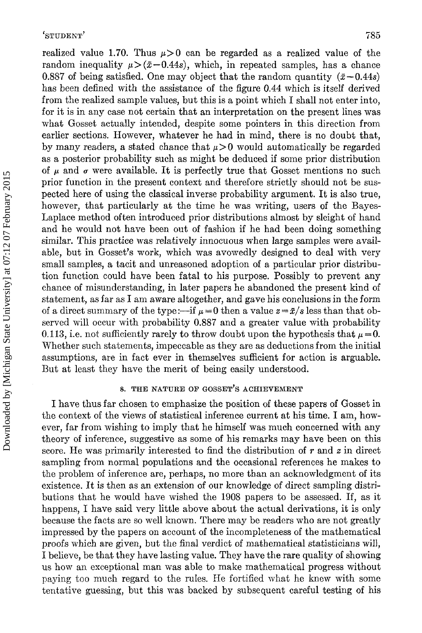# $'s$ TUDENT'  $'$

realized value 1.70. Thus  $\mu > 0$  can be regarded as a realized value of the random inequality  $\mu > (\bar{x}-0.44s)$ , which, in repeated samples, has a chance 0.887 of being satisfied. One may object that the random quantity  $(\bar{x}-0.44s)$ has been defined with the assistance of the figure 0.44 which is itself derived from the realized sample values, but this is a point which I shall not enter into, for it is in any case not certain that an interpretation on the present lines was what Gosset actually intended, despite some pointers in this direction from earlier sections. However, whatever he had in mind, there is no doubt that, by many readers, a stated chance that  $\mu > 0$  would automatically be regarded as a posterior probability such as might be deduced if some prior distribution of  $\mu$  and  $\sigma$  were available. It is perfectly true that Gosset mentions no such prior function in the present context and therefore strictly should not be suspected here of using the classical inverse probability argument. It is also true, however, that particularly at the time he was writing, users of the Bayes-Laplace method often introduced prior distributions almost by sleight of hand and he would not have been out of fashion if he had been doing something similar. This practice was relatively innocuous when large samples were available, but in Gosset's work, which was avowedly designed to deal with very small samples, a tacit and unreasoned adoption of a particular prior distribution function could have been fatal to his purpose. Possibly to prevent any chance of misunderstanding, in later papers he abandoned the present kind of statement, as far as I am aware altogether, and gave his conclusions*in* the form of a direct summary of the type: $\text{if } \mu = 0$  then a value  $z = \bar{x}/s$  less than that observed will occur with probability 0.887 and a greater value with probability 0.113, i.e. not sufficiently rarely to throw doubt upon the hypothesis that  $\mu = 0$ . Whether such statements, impeccable as they are as deductions from the initial assumptions, are in fact ever in themselves sufficient for action is arguable. But at least they have the merit of being easily understood.

# 8. THE NATURE OF GOSSET'S ACHIEVEMENT

I have thus far chosen to emphasize the *position* of these papers of Gosset *in* the context of the *views* of statistical inference current at *his* time. I am, however, far from wishing to imply that he himself was much concerned with any theory of inference, suggestive as some of his remarks may have been on this score. He was primarily interested to find the distribution of rand *z* in direct sampling from normal populations and the occasional references he makes to the problem of inference are, perhaps, no more than an acknowledgment of its existence. It is then as an extension of our knowledge of direct sampling distributions that he would have wished the 1908 papers to be assessed. If, as it happens, I have said very little above about the actual derivations, it *is* only because the facts are so well known. There may be readers who are not greatly impressed by the papers on account of the incompleteness of the mathematical proofs *which* are given, but the final verdict of mathematical *statisticians* will, I believe, be that they have lasting value. They have the rare quality of showing us how an exceptional man was able to make mathematical progress without paying too much regard to the rules. He fortified what he knew with some tentative guessing, but this was backed by subsequent careful testing of *his*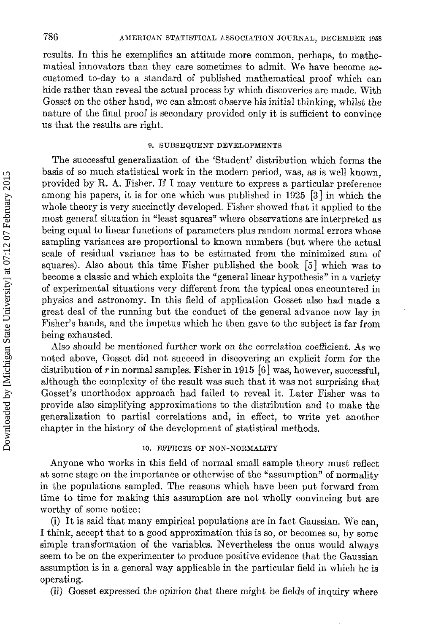results. In this he exemplifies an attitude more common, perhaps, to mathematical innovators than they care sometimes to admit. We have become accustomed to-day to a standard of published mathematical proof which can hide rather than reveal the actual process by which discoveries are made. With Gosset on the other hand, we can almost observe his initial thinking, whilst the nature of the final proof is secondary provided only it is sufficient to convince us that the results are right.

## 9. SUBSEQUENT DEVELOPMENTS

The successful generalization of the 'Student' distribution which forms the basis of so much statistical work in the modern period, was, as is well known, provided by R. A. Fisher. If I may venture to express a particular preference among his papers, it is for one which was published in 1925 [3] in which the whole theory is very succinctly developed. Fisher showed that it applied to the most general situation in "least squares" where observations are interpreted as being equal to linear functions of parameters plus random normal errors whose sampling variances are proportional to known numbers (but where the actual scale of residual variance has to be estimated from the minimized sum of squares). Also about this time Fisher published the book [5] which was to become a classic and which exploits the "general linear hypothesis" in a variety of experimental situations very different from the typical ones encountered in physics and astronomy. In this field of application Gosset also had made a great deal of the running but the conduct of the general advance now lay in Fisher's hands, and the impetus which he then gave to the subject is far from being exhausted.

Also should be mentioned further work on the correlation coefficient. As we noted above, Gosset did not succeed in discovering an explicit form for the distribution of r in normal samples. Fisher in 1915 [6] was, however, successful, although the complexity of the result was such that it was not surprising that Gosset's unorthodox approach had failed to reveal it. Later Fisher was to provide also simplifying approximations to the distribution and to make the generalization to partial correlations and, in effect, to write yet another chapter in the history of the development of statistical methods.

# 10. EFFECTS OF NON-NORMALITY

Anyone who works in this field of normal small sample theory must reflect at some stage on the importance or otherwise of the "assumption" of normality in the populations sampled. The reasons which have been put forward from time to time for making this assumption are not wholly convincing but are worthy of some notice:

(i) It is said that many empirical populations are in fact Gaussian. We can, I think, accept that to a good approximation this is so, or becomes so, by some simple transformation of the variables. Nevertheless the onus would always seem to be on the experimenter to produce positive evidence that the Gaussian assumption is in a general way applicable in the particular field in which he is operating.

(ii) Gosset expressed the opinion that there might be fields of inquiry where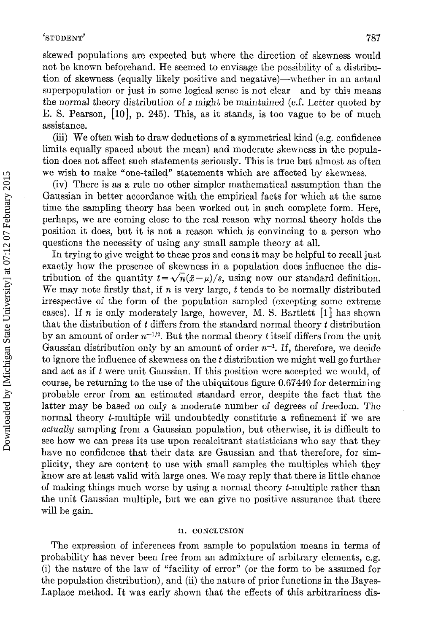skewed populations are expected but where the direction of skewness would not be known beforehand. He seemed to envisage the possibility of a distribution of skewness (equally likely positive and negative)-whether in an actual superpopulation or just in some logical sense is not clear—and by this means the normal theory distribution of *z* might be maintained (c.f. Letter quoted by E. S. Pearson, **[10],** p. 245). This, as it stands, is too vague to be of much assistance.

(iii) We often wish to draw deductions of a symmetrical kind (e.g. confidence limits equally spaced about the mean) and moderate skewness in the population does not affect such statements seriously. This is true but almost as often we wish to make "one-tailed" statements which are affected by skewness.

(iv) There is as a rule no other simpler mathematical assumption than the Gaussian in better accordance with the empirical facts for which at the same time the sampling theory has been worked out in such complete form. Here, perhaps, we are coming close to the real reason why normal theory holds the position it does, but it is not a reason which is convincing to a person who questions the necessity of using any small sample theory at all.

In trying to give weight to these pros and cons it may be helpful to recall just exactly how the presence of skewness in a population does influence the distribution of the quantity  $t=\sqrt{n}(\bar{x}-\mu)/s$ , using now our standard definition. We may note firstly that, if *n* is very large, *t* tends to be normally distributed irrespective of the form of the population sampled (excepting some extreme cases). If *n* is only moderately large, however, M. S. Bartlett [1] has shown that the distribution of *t* differs from the standard normal theory *t* distribution by an amount of order  $n^{-1/2}$ . But the normal theory *t* itself differs from the unit Gaussian distribution only by an amount of order  $n^{-1}$ . If, therefore, we decide to ignore the influence of skewness on the *t* distribution we might well go further and act as if *t* were unit Gaussian. If this position were accepted we would, of course, be returning to the use of the ubiquitous figure 0.67449 for determining probable error from an estimated standard error, despite the fact that the latter may be based on only a moderate number of degrees of freedom. The normal theory *t*-multiple will undoubtedly constitute a refinement if we are *actually* sampling from a Gaussian population, but otherwise, it is difficult to see how we can press its use upon recalcitrant statisticians who say that they have no confidence that their data are Gaussian and that therefore, for simplicity, they are content to use with small samples the multiples which they know are at least valid with large ones. We may reply that there is little chance of making things much worse by using a normal theory t-multiple rather than the unit Gaussian multiple, but we can give no positive assurance that there will be gain.

#### II. CONCLUSION

The expression of inferences from sample to population means in terms of probability has never been free from an admixture of arbitrary elements, e.g. (i) the nature of the law of "facility of error" (or the form to be assumed for the population distribution), and (ii) the nature of prior functions in the Bayes-Laplace method. It was early shown that the effects of this arbitrariness dis-